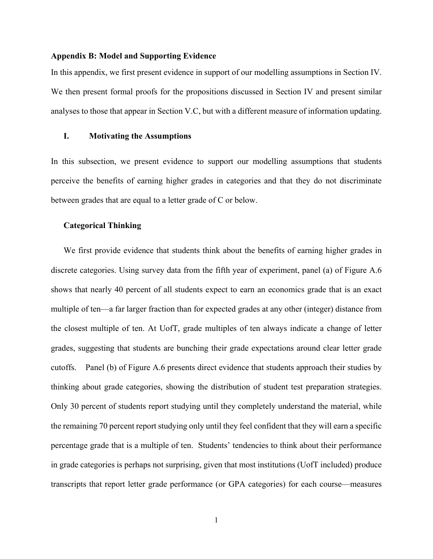#### **Appendix B: Model and Supporting Evidence**

In this appendix, we first present evidence in support of our modelling assumptions in Section IV. We then present formal proofs for the propositions discussed in Section IV and present similar analyses to those that appear in Section V.C, but with a different measure of information updating.

## **I. Motivating the Assumptions**

In this subsection, we present evidence to support our modelling assumptions that students perceive the benefits of earning higher grades in categories and that they do not discriminate between grades that are equal to a letter grade of C or below.

## **Categorical Thinking**

We first provide evidence that students think about the benefits of earning higher grades in discrete categories. Using survey data from the fifth year of experiment, panel (a) of Figure A.6 shows that nearly 40 percent of all students expect to earn an economics grade that is an exact multiple of ten—a far larger fraction than for expected grades at any other (integer) distance from the closest multiple of ten. At UofT, grade multiples of ten always indicate a change of letter grades, suggesting that students are bunching their grade expectations around clear letter grade cutoffs. Panel (b) of Figure A.6 presents direct evidence that students approach their studies by thinking about grade categories, showing the distribution of student test preparation strategies. Only 30 percent of students report studying until they completely understand the material, while the remaining 70 percent report studying only until they feel confident that they will earn a specific percentage grade that is a multiple of ten. Students' tendencies to think about their performance in grade categories is perhaps not surprising, given that most institutions (UofT included) produce transcripts that report letter grade performance (or GPA categories) for each course—measures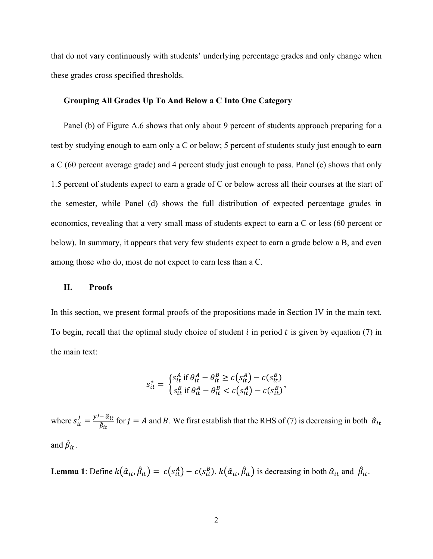that do not vary continuously with students' underlying percentage grades and only change when these grades cross specified thresholds.

## **Grouping All Grades Up To And Below a C Into One Category**

Panel (b) of Figure A.6 shows that only about 9 percent of students approach preparing for a test by studying enough to earn only a C or below; 5 percent of students study just enough to earn a C (60 percent average grade) and 4 percent study just enough to pass. Panel (c) shows that only 1.5 percent of students expect to earn a grade of C or below across all their courses at the start of the semester, while Panel (d) shows the full distribution of expected percentage grades in economics, revealing that a very small mass of students expect to earn a C or less (60 percent or below). In summary, it appears that very few students expect to earn a grade below a B, and even among those who do, most do not expect to earn less than a C.

#### **II. Proofs**

In this section, we present formal proofs of the propositions made in Section IV in the main text. To begin, recall that the optimal study choice of student  $i$  in period  $t$  is given by equation (7) in the main text:

$$
s_{it}^* = \begin{cases} s_{it}^A \text{ if } \theta_{it}^A - \theta_{it}^B \ge c \left( s_{it}^A \right) - c \left( s_{it}^B \right) \\ s_{it}^B \text{ if } \theta_{it}^A - \theta_{it}^B < c \left( s_{it}^A \right) - c \left( s_{it}^B \right) \end{cases}
$$

where  $s_{it}^j = \frac{y^j - \hat{a}_{it}}{\hat{\beta}_{it}}$  for  $j = A$  and B. We first establish that the RHS of (7) is decreasing in both  $\hat{a}_{it}$ and  $\beta_{it}$ .

**Lemma 1**: Define  $k(\hat{a}_{it}, \hat{\beta}_{it}) = c(s_{it}^A) - c(s_{it}^B)$ .  $k(\hat{a}_{it}, \hat{\beta}_{it})$  is decreasing in both  $\hat{a}_{it}$  and  $\hat{\beta}_{it}$ .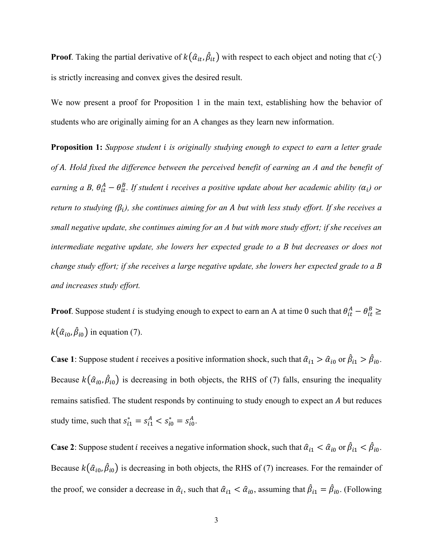**Proof**. Taking the partial derivative of  $k(\hat{\alpha}_{it}, \hat{\beta}_{it})$  with respect to each object and noting that  $c(\cdot)$ is strictly increasing and convex gives the desired result.

We now present a proof for Proposition 1 in the main text, establishing how the behavior of students who are originally aiming for an A changes as they learn new information.

**Proposition 1:** *Suppose student is originally studying enough to expect to earn a letter grade of . Hold fixed the difference between the perceived benefit of earning an A and the benefit of earning a B,*  $\theta_{it}^{A} - \theta_{it}^{B}$ . If student i receives a positive update about her academic ability ( $\alpha_{i}$ ) or *return to studying*  $(\beta_i)$ *, she continues aiming for an A but with less study effort. If she receives a small negative update, she continues aiming for an A but with more study effort; if she receives an intermediate negative update, she lowers her expected grade to a B but decreases or does not change study effort; if she receives a large negative update, she lowers her expected grade to a B and increases study effort.* 

**Proof**. Suppose student *i* is studying enough to expect to earn an A at time 0 such that  $\theta_{it}^A - \theta_{it}^B \ge$  $k(\hat{\alpha}_{i0}, \hat{\beta}_{i0})$  in equation (7).

**Case 1**: Suppose student *i* receives a positive information shock, such that  $\hat{\alpha}_{i1} > \hat{\alpha}_{i0}$  or  $\hat{\beta}_{i1} > \hat{\beta}_{i0}$ . Because  $k(\hat{\alpha}_{i0}, \hat{\beta}_{i0})$  is decreasing in both objects, the RHS of (7) falls, ensuring the inequality remains satisfied. The student responds by continuing to study enough to expect an A but reduces study time, such that  $s_{i1}^* = s_{i1}^A < s_{i0}^* = s_{i0}^A$ .

**Case 2**: Suppose student *i* receives a negative information shock, such that  $\hat{\alpha}_{i1} < \hat{\alpha}_{i0}$  or  $\hat{\beta}_{i1} < \hat{\beta}_{i0}$ . Because  $k(\hat{\alpha}_{i_0}, \hat{\beta}_{i_0})$  is decreasing in both objects, the RHS of (7) increases. For the remainder of the proof, we consider a decrease in  $\hat{\alpha}_i$ , such that  $\hat{\alpha}_{i1} < \hat{\alpha}_{i0}$ , assuming that  $\hat{\beta}_{i1} = \hat{\beta}_{i0}$ . (Following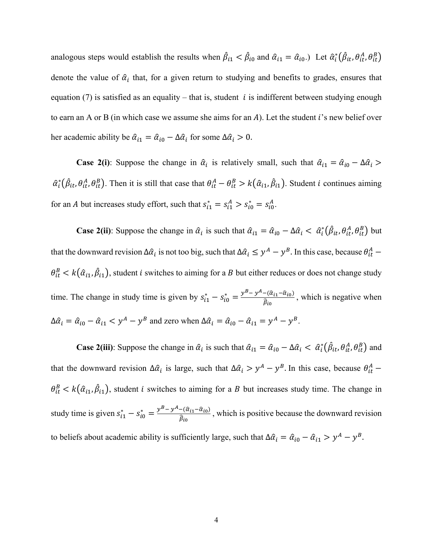analogous steps would establish the results when  $\beta_{i1} < \beta_{i0}$  and  $\hat{\alpha}_{i1} = \hat{\alpha}_{i0}$ .) Let  $\hat{\alpha}_i^*(\hat{\beta}_{it}, \theta_{it}^A, \theta_{it}^B)$ denote the value of  $\hat{\alpha}_i$  that, for a given return to studying and benefits to grades, ensures that equation (7) is satisfied as an equality – that is, student *i* is indifferent between studying enough to earn an A or B (in which case we assume she aims for an A). Let the student  $i$ 's new belief over her academic ability be  $\hat{\alpha}_{i1} = \hat{\alpha}_{i0} - \Delta \hat{\alpha}_{i}$  for some  $\Delta \hat{\alpha}_{i} > 0$ .

**Case 2(i)**: Suppose the change in  $\hat{\alpha}_i$  is relatively small, such that  $\hat{\alpha}_{i1} = \hat{\alpha}_{i0} - \Delta \hat{\alpha}_i$  $\hat{\alpha}_i^*(\hat{\beta}_{it}, \theta_{it}^A, \theta_{it}^B)$ . Then it is still that case that  $\theta_{it}^A - \theta_{it}^B > k(\hat{\alpha}_{i1}, \hat{\beta}_{i1})$ . Student *i* continues aiming for an *A* but increases study effort, such that  $s_{i1}^* = s_{i1}^A > s_{i0}^* = s_{i0}^A$ .

**Case 2(ii)**: Suppose the change in  $\hat{\alpha}_i$  is such that  $\hat{\alpha}_{i1} = \hat{\alpha}_{i0} - \Delta \hat{\alpha}_i < \hat{\alpha}_i^* (\hat{\beta}_{it}, \theta_{it}^A, \theta_{it}^B)$  but that the downward revision  $\Delta \hat{a}_i$  is not too big, such that  $\Delta \hat{a}_i \leq y^A - y^B$ . In this case, because  $\theta_{it}^A$  –  $\theta_{it}^{B} < k(\hat{\alpha}_{i1}, \hat{\beta}_{i1})$ , student *i* switches to aiming for a *B* but either reduces or does not change study time. The change in study time is given by  $s_{i1}^* - s_{i0}^* = \frac{y^B - y^A - (\hat{\alpha}_{i1} - \hat{\alpha}_{i0})}{\hat{\beta}_{i0}}$ , which is negative when  $\Delta \hat{\alpha}_i = \hat{\alpha}_{i0} - \hat{\alpha}_{i1} < y^A - y^B$  and zero when  $\Delta \hat{\alpha}_i = \hat{\alpha}_{i0} - \hat{\alpha}_{i1} = y^A - y^B$ .

**Case 2(iii)**: Suppose the change in  $\hat{\alpha}_i$  is such that  $\hat{\alpha}_{i1} = \hat{\alpha}_{i0} - \Delta \hat{\alpha}_i < \hat{\alpha}_i^* (\hat{\beta}_{it}, \theta_{it}^A, \theta_{it}^B)$  and that the downward revision  $\Delta \hat{a}_i$  is large, such that  $\Delta \hat{a}_i > y^A - y^B$ . In this case, because  $\theta_{it}^A$  –  $\theta_{it}^{B} < k(\hat{\alpha}_{i1}, \hat{\beta}_{i1})$ , student *i* switches to aiming for a *B* but increases study time. The change in study time is given  $s_{i1}^* - s_{i0}^* = \frac{y^B - y^A - (\hat{\alpha}_{i1} - \hat{\alpha}_{i0})}{\hat{\beta}_{i0}}$ , which is positive because the downward revision to beliefs about academic ability is sufficiently large, such that  $\Delta \hat{a}_i = \hat{a}_{i0} - \hat{a}_{i1} > y^A - y^B$ .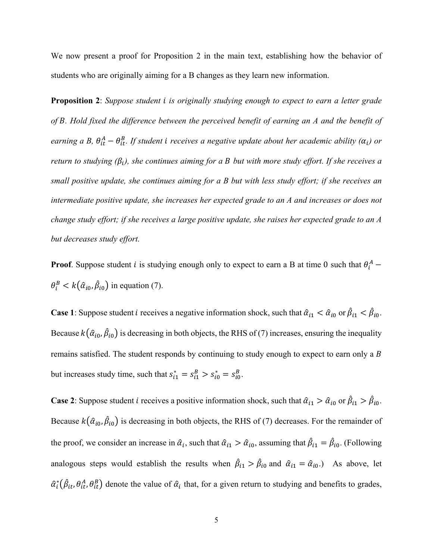We now present a proof for Proposition 2 in the main text, establishing how the behavior of students who are originally aiming for a B changes as they learn new information.

**Proposition 2**: *Suppose student is originally studying enough to expect to earn a letter grade of . Hold fixed the difference between the perceived benefit of earning an A and the benefit of earning a B,*  $\theta_{it}^A - \theta_{it}^B$ . If student i receives a negative update about her academic ability ( $\alpha_i$ ) or *return to studying*  $(\beta_i)$ *, she continues aiming for a B but with more study effort. If she receives a small positive update, she continues aiming for a B but with less study effort; if she receives an intermediate positive update, she increases her expected grade to an A and increases or does not change study effort; if she receives a large positive update, she raises her expected grade to an A but decreases study effort.* 

**Proof**. Suppose student *i* is studying enough only to expect to earn a B at time 0 such that  $\theta_i^A$  –  $\theta_i^B < k(\hat{\alpha}_{i0}, \hat{\beta}_{i0})$  in equation (7).

**Case 1**: Suppose student *i* receives a negative information shock, such that  $\hat{\alpha}_{i1} < \hat{\alpha}_{i0}$  or  $\hat{\beta}_{i1} < \hat{\beta}_{i0}$ . Because  $k(\hat{\alpha}_{i_0}, \hat{\beta}_{i_0})$  is decreasing in both objects, the RHS of (7) increases, ensuring the inequality remains satisfied. The student responds by continuing to study enough to expect to earn only a B but increases study time, such that  $s_{i1}^* = s_{i1}^B > s_{i0}^* = s_{i0}^B$ .

**Case 2**: Suppose student *i* receives a positive information shock, such that  $\hat{\alpha}_{i1} > \hat{\alpha}_{i0}$  or  $\hat{\beta}_{i1} > \hat{\beta}_{i0}$ . Because  $k(\hat{\alpha}_{i_0}, \hat{\beta}_{i_0})$  is decreasing in both objects, the RHS of (7) decreases. For the remainder of the proof, we consider an increase in  $\hat{\alpha}_i$ , such that  $\hat{\alpha}_{i1} > \hat{\alpha}_{i0}$ , assuming that  $\hat{\beta}_{i1} = \hat{\beta}_{i0}$ . (Following analogous steps would establish the results when  $\hat{\beta}_{i1} > \hat{\beta}_{i0}$  and  $\hat{\alpha}_{i1} = \hat{\alpha}_{i0}$ . As above, let  $\hat{\alpha}_i^*(\hat{\beta}_{it}, \theta_{it}^A, \theta_{it}^B)$  denote the value of  $\hat{\alpha}_i$  that, for a given return to studying and benefits to grades,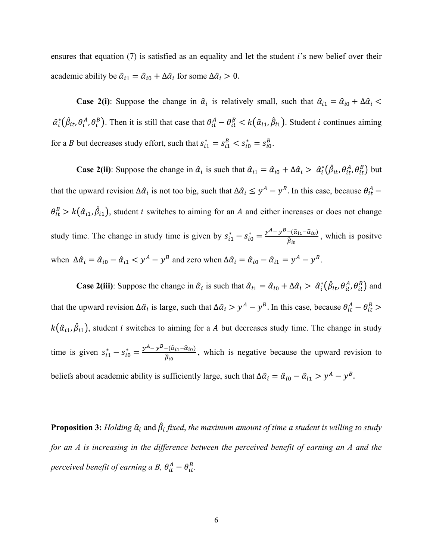ensures that equation  $(7)$  is satisfied as an equality and let the student i's new belief over their academic ability be  $\hat{\alpha}_{i1} = \hat{\alpha}_{i0} + \Delta \hat{\alpha}_{i}$  for some  $\Delta \hat{\alpha}_{i} > 0$ .

**Case 2(i)**: Suppose the change in  $\hat{\alpha}_i$  is relatively small, such that  $\hat{\alpha}_{i1} = \hat{\alpha}_{i0} + \Delta \hat{\alpha}_i$  $\hat{\alpha}_i^*(\hat{\beta}_{it}, \theta_i^A, \theta_i^B)$ . Then it is still that case that  $\theta_{it}^A - \theta_{it}^B < k(\hat{\alpha}_{i1}, \hat{\beta}_{i1})$ . Student *i* continues aiming for a *B* but decreases study effort, such that  $s_{i1}^* = s_{i1}^B < s_{i0}^* = s_{i0}^B$ .

**Case 2(ii)**: Suppose the change in  $\hat{\alpha}_i$  is such that  $\hat{\alpha}_{i1} = \hat{\alpha}_{i0} + \Delta \hat{\alpha}_i > \hat{\alpha}_i^* (\hat{\beta}_{it}, \theta_{it}^A, \theta_{it}^B)$  but that the upward revision  $\Delta \hat{a}_i$  is not too big, such that  $\Delta \hat{a}_i \leq y^A - y^B$ . In this case, because  $\theta_{it}^A$  –  $\theta_{it}^{B} > k(\hat{\alpha}_{i1}, \hat{\beta}_{i1})$ , student *i* switches to aiming for an *A* and either increases or does not change study time. The change in study time is given by  $s_{i1}^* - s_{i0}^* = \frac{y^A - y^B - (\hat{\alpha}_{i1} - \hat{\alpha}_{i0})}{\hat{\beta}_{i0}}$ , which is positve when  $\Delta \hat{\alpha}_i = \hat{\alpha}_{i0} - \hat{\alpha}_{i1} < y^A - y^B$  and zero when  $\Delta \hat{\alpha}_i = \hat{\alpha}_{i0} - \hat{\alpha}_{i1} = y^A - y^B$ .

**Case 2(iii)**: Suppose the change in  $\hat{\alpha}_i$  is such that  $\hat{\alpha}_{i1} = \hat{\alpha}_{i0} + \Delta \hat{\alpha}_i > \hat{\alpha}_i^* (\hat{\beta}_{it}, \theta_{it}^A, \theta_{it}^B)$  and that the upward revision  $\Delta \hat{a}_i$  is large, such that  $\Delta \hat{a}_i > y^A - y^B$ . In this case, because  $\theta_{it}^A - \theta_{it}^B >$  $k(\hat{\alpha}_{i1}, \hat{\beta}_{i1})$ , student *i* switches to aiming for a *A* but decreases study time. The change in study time is given  $s_{i1}^* - s_{i0}^* = \frac{y^A - y^B - (\hat{\alpha}_{i1} - \hat{\alpha}_{i0})}{\hat{\beta}_{i0}}$ , which is negative because the upward revision to beliefs about academic ability is sufficiently large, such that  $\Delta \hat{a}_i = \hat{a}_{i0} - \hat{a}_{i1} > y^A - y^B$ .

**Proposition 3:** *Holding*  $\hat{\alpha}_i$  *and*  $\hat{\beta}_i$  *fixed, the maximum amount of time a student is willing to study for an A is increasing in the difference between the perceived benefit of earning an A and the perceived benefit of earning a B,*  $\theta_{it}^{A} - \theta_{it}^{B}$ .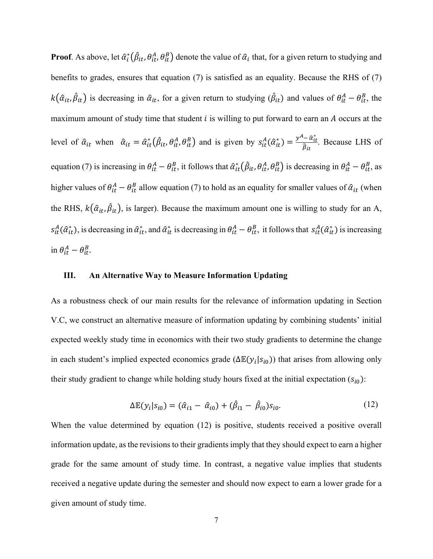**Proof**. As above, let  $\hat{\alpha}_i^*(\hat{\beta}_{it}, \theta_{it}^A, \theta_{it}^B)$  denote the value of  $\hat{\alpha}_i$  that, for a given return to studying and benefits to grades, ensures that equation (7) is satisfied as an equality. Because the RHS of (7)  $k(\hat{a}_{it}, \hat{\beta}_{it})$  is decreasing in  $\hat{a}_{it}$ , for a given return to studying  $(\hat{\beta}_{it})$  and values of  $\theta_{it}^A - \theta_{it}^B$ , the maximum amount of study time that student  $i$  is willing to put forward to earn an  $A$  occurs at the level of  $\hat{\alpha}_{it}$  when  $\hat{\alpha}_{it} = \hat{\alpha}_{it}^*(\hat{\beta}_{it}, \theta_{it}^A, \theta_{it}^B)$  and is given by  $s_{it}^A(\hat{\alpha}_{it}^*) = \frac{y^A - \hat{\alpha}_{it}^*}{\hat{\beta}_{it}}$  $\hat{\beta}_{it}$ . Because LHS of equation (7) is increasing in  $\theta_{it}^A - \theta_{it}^B$ , it follows that  $\hat{\alpha}_{it}^*(\hat{\beta}_{it}, \theta_{it}^A, \theta_{it}^B)$  is decreasing in  $\theta_{it}^A - \theta_{it}^B$ , as higher values of  $\theta_{it}^A - \theta_{it}^B$  allow equation (7) to hold as an equality for smaller values of  $\hat{\alpha}_{it}$  (when the RHS,  $k(\hat{a}_{it}, \hat{\beta}_{it})$ , is larger). Because the maximum amount one is willing to study for an A,  $s_{it}^A(\hat{\alpha}_{it}^*)$ , is decreasing in  $\hat{\alpha}_{it}^*$ , and  $\hat{\alpha}_{it}^*$  is decreasing in  $\theta_{it}^A - \theta_{it}^B$ , it follows that  $s_{it}^A(\hat{\alpha}_{it}^*)$  is increasing in  $\theta_{it}^A - \theta_{it}^B$ .

# **III. An Alternative Way to Measure Information Updating**

As a robustness check of our main results for the relevance of information updating in Section V.C, we construct an alternative measure of information updating by combining students' initial expected weekly study time in economics with their two study gradients to determine the change in each student's implied expected economics grade ( $\Delta \mathbb{E}(y_i|s_{i0})$ ) that arises from allowing only their study gradient to change while holding study hours fixed at the initial expectation  $(s_{i0})$ :

$$
\Delta \mathbb{E}(y_i|s_{i0}) = (\hat{\alpha}_{i1} - \hat{\alpha}_{i0}) + (\hat{\beta}_{i1} - \hat{\beta}_{i0})s_{i0}.
$$
 (12)

When the value determined by equation (12) is positive, students received a positive overall information update, as the revisions to their gradients imply that they should expect to earn a higher grade for the same amount of study time. In contrast, a negative value implies that students received a negative update during the semester and should now expect to earn a lower grade for a given amount of study time.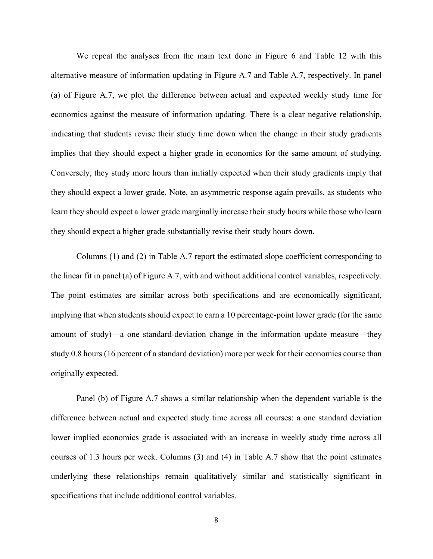We repeat the analyses from the main text done in Figure 6 and Table 12 with this alternative measure of information updating in Figure A.7 and Table A.7, respectively. In panel (a) of Figure A.7, we plot the difference between actual and expected weekly study time for economics against the measure of information updating. There is a clear negative relationship, indicating that students revise their study time down when the change in their study gradients implies that they should expect a higher grade in economics for the same amount of studying. Conversely, they study more hours than initially expected when their study gradients imply that they should expect a lower grade. Note, an asymmetric response again prevails, as students who learn they should expect a lower grade marginally increase their study hours while those who learn they should expect a higher grade substantially revise their study hours down.

Columns (1) and (2) in Table A.7 report the estimated slope coefficient corresponding to the linear fit in panel (a) of Figure A.7, with and without additional control variables, respectively. The point estimates are similar across both specifications and are economically significant, implying that when students should expect to earn a 10 percentage-point lower grade (for the same amount of study)—a one standard-deviation change in the information update measure—they study 0.8 hours (16 percent of a standard deviation) more per week for their economics course than originally expected.

Panel (b) of Figure A.7 shows a similar relationship when the dependent variable is the difference between actual and expected study time across all courses: a one standard deviation lower implied economics grade is associated with an increase in weekly study time across all courses of 1.3 hours per week. Columns (3) and (4) in Table A.7 show that the point estimates underlying these relationships remain qualitatively similar and statistically significant in specifications that include additional control variables.